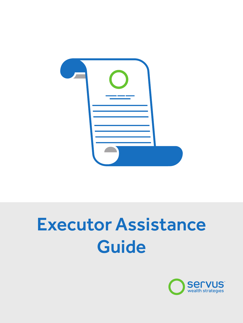

# Executor Assistance Guide

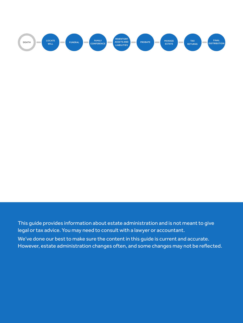

This guide provides information about estate administration and is not meant to give legal or tax advice. You may need to consult with a lawyer or accountant. We've done our best to make sure the content in this guide is current and accurate. However, estate administration changes often, and some changes may not be reflected.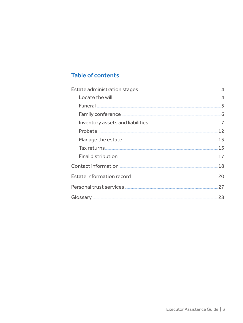# **Table of contents**

| Estate administration stages <b>Manual Estate and Algebra</b> 4                                                                                                                                                                      |    |
|--------------------------------------------------------------------------------------------------------------------------------------------------------------------------------------------------------------------------------------|----|
|                                                                                                                                                                                                                                      |    |
|                                                                                                                                                                                                                                      |    |
|                                                                                                                                                                                                                                      |    |
| Inventory assets and liabilities <b>[47] The Contract Contract Contract Contract Contract Contract Contract Contract Contract Contract Contract Contract Contract Contract Contract Contract Contract Contract Contract Contract</b> |    |
| Probate 12                                                                                                                                                                                                                           |    |
| Manage the estate <b>contract of the contract of the state</b> 13                                                                                                                                                                    |    |
| Tax returns 15                                                                                                                                                                                                                       |    |
|                                                                                                                                                                                                                                      |    |
|                                                                                                                                                                                                                                      |    |
| Estate information record <b>Example 2018</b>                                                                                                                                                                                        | 20 |
| Personal trust services <b>with a construct of the construction</b> and trust services with a construction of the cons                                                                                                               | 27 |
|                                                                                                                                                                                                                                      |    |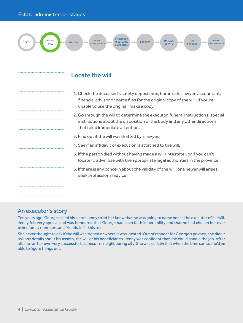..................................................................................

..................................................................................

..................................................................................

..................................................................................

..................................................................................

..................................................................................

..................................................................................

..................................................................................

..................................................................................

..................................................................................

..................................................................................

..................................................................................

..................................................................................



# Locate the will

- 1. Check the deceased's safety deposit box, home safe, lawyer, accountant, financial advisor or home files for the original copy of the will. If you're unable to use the original, make a copy.
- 2. Go through the will to determine the executor, funeral instructions, special instructions about the disposition of the body and any other directions that need immediate attention.
- 3. Find out if the will was drafted by a lawyer.
- 4. See if an affidavit of execution is attached to the will.
- 5. If the person died without having made a will (intestate), or if you can't locate it, advertise with the appropriate legal authorities in the province.
- 6. If there is any concern about the validity of the will, or a newer will arises, seek professional advice.

# An executor's story

Ten years ago, George called his sister Jenny to let her know that he was going to name her as the executor of his will. Jenny felt very special and was honoured that George had such faith in her ability and that he had chosen her over other family members and friends to fill this role.

She never thought to ask if the will was signed or where it was located. Out of respect for George's privacy, she didn't ask any details about his assets, the will or his beneficiaries. Jenny was confident that she could handle the job. After all, she ran her own very successful business in a neighbouring city. She was certain that when the time came, she'd be able to figure things out.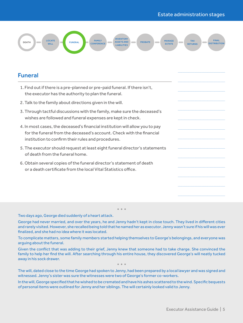

# Funeral

| 1. Find out if there is a pre-planned or pre-paid funeral. If there isn't,<br>the executor has the authority to plan the funeral.                                                                           |  |
|-------------------------------------------------------------------------------------------------------------------------------------------------------------------------------------------------------------|--|
| 2. Talk to the family about directions given in the will.                                                                                                                                                   |  |
| 3. Through tactful discussions with the family, make sure the deceased's<br>wishes are followed and funeral expenses are kept in check.                                                                     |  |
| 4. In most cases, the deceased's financial institution will allow you to pay<br>for the funeral from the deceased's account. Check with the financial<br>institution to confirm their rules and procedures. |  |
| 5. The executor should request at least eight funeral director's statements<br>of death from the funeral home.                                                                                              |  |
| 6. Obtain several copies of the funeral director's statement of death<br>or a death certificate from the local Vital Statistics office.                                                                     |  |
|                                                                                                                                                                                                             |  |
|                                                                                                                                                                                                             |  |

Two days ago, George died suddenly of a heart attack.

George had never married, and over the years, he and Jenny hadn't kept in close touch. They lived in different cities and rarely visited. However, she recalled being told that he named her as executor. Jenny wasn't sure if his will was ever finalized, and she had no idea where it was located.

\* \* \*

To complicate matters, some family members started helping themselves to George's belongings, and everyone was arguing about the funeral.

Given the conflict that was adding to their grief, Jenny knew that someone had to take charge. She convinced the family to help her find the will. After searching through his entire house, they discovered George's will neatly tucked away in his sock drawer.

\* \* \* The will, dated close to the time George had spoken to Jenny, had been prepared by a local lawyer and was signed and witnessed. Jenny's sister was sure the witnesses were two of George's former co-workers.

In the will, George specified that he wished to be cremated and have his ashes scattered to the wind. Specific bequests of personal items were outlined for Jenny and her siblings. The will certainly looked valid to Jenny.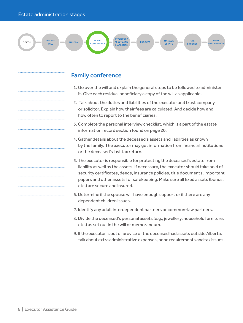..................................................................................

..................................................................................

..................................................................................

..................................................................................

..................................................................................

..................................................................................

..................................................................................

..................................................................................

..................................................................................

..................................................................................

..................................................................................

..................................................................................

..................................................................................



# Family conference

- 1. Go over the will and explain the general steps to be followed to administer it. Give each residual beneficiary a copy of the will as applicable.
- 2. Talk about the duties and liabilities of the executor and trust company or solicitor. Explain how their fees are calculated. And decide how and how often to report to the beneficiaries.
- 3. Complete the personal interview checklist, which is a part of the estate information record section found on page 20.
- 4. Gather details about the deceased's assets and liabilities as known by the family. The executor may get information from financial institutions or the deceased's last tax return.
- 5. The executor is responsible for protecting the deceased's estate from liability as well as the assets. If necessary, the executor should take hold of security certificates, deeds, insurance policies, title documents, important papers and other assets for safekeeping. Make sure all fixed assets (bonds, etc.) are secure and insured.
- 6. Determine if the spouse will have enough support or if there are any dependent children issues.
- 7. Identify any adult interdependent partners or common-law partners.
- 8. Divide the deceased's personal assets (e.g., jewellery, household furniture, etc.) as set out in the will or memorandum.
- 9. If the executor is out of provice or the deceased had assets outside Alberta, talk about extra administrative expenses, bond requirements and tax issues.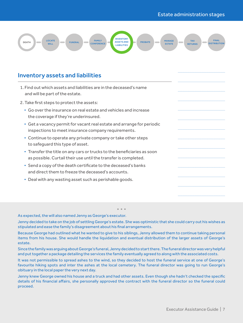

# Inventory assets and liabilities

| 1. Find out which assets and liabilities are in the deceased's name<br>and will be part of the estate.                                     |  |
|--------------------------------------------------------------------------------------------------------------------------------------------|--|
| 2. Take first steps to protect the assets:                                                                                                 |  |
| • Go over the insurance on real estate and vehicles and increase<br>the coverage if they're underinsured.                                  |  |
| • Get a vacancy permit for vacant real estate and arrange for periodic<br>inspections to meet insurance company requirements.              |  |
| • Continue to operate any private company or take other steps<br>to safequard this type of asset.                                          |  |
| • Transfer the title on any cars or trucks to the beneficiaries as soon<br>as possible. Curtail their use until the transfer is completed. |  |
| • Send a copy of the death certificate to the deceased's banks<br>and direct them to freeze the deceased's accounts.                       |  |
| • Deal with any wasting asset such as perishable goods.                                                                                    |  |
|                                                                                                                                            |  |
|                                                                                                                                            |  |

## As expected, the will also named Jenny as George's executor.

Jenny decided to take on the job of settling George's estate. She was optimistic that she could carry out his wishes as stipulated and ease the family's disagreement about his final arrangements.

\* \* \*

Because George had outlined what he wanted to give to his siblings, Jenny allowed them to continue taking personal items from his house. She would handle the liquidation and eventual distribution of the larger assets of George's estate.

Since the family was arguing about George's funeral, Jenny decided to start there. The funeral director was very helpful and put together a package detailing the services the family eventually agreed to along with the associated costs.

It was not permissible to spread ashes to the wind, so they decided to host the funeral service at one of George's favourite hiking spots and inter the ashes at the local cemetery. The funeral director was going to run George's obituary in the local paper the very next day.

Jenny knew George owned his house and a truck and had other assets. Even though she hadn't checked the specific details of his financial affairs, she personally approved the contract with the funeral director so the funeral could proceed.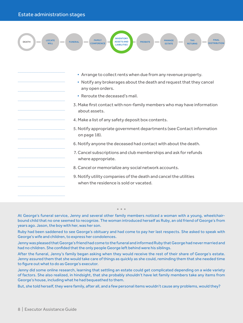..................................................................................

..................................................................................

..................................................................................

..................................................................................

..................................................................................

..................................................................................

..................................................................................

..................................................................................

..................................................................................

..................................................................................

..................................................................................

..................................................................................

..................................................................................



- Arrange to collect rents when due from any revenue property.
- Notify any brokerages about the death and request that they cancel any open orders.
- Reroute the deceased's mail.
- 3. Make first contact with non-family members who may have information about assets.
- 4. Make a list of any safety deposit box contents.
- 5. Notify appropriate government departments (see Contact information on page 18).
- 6. Notify anyone the deceased had contact with about the death.
- 7. Cancel subscriptions and club memberships and ask for refunds where appropriate.
- 8. Cancel or memorialize any social network accounts.
- 9. Notify utility companies of the death and cancel the utilities when the residence is sold or vacated.

## \* \* \* At George's funeral service, Jenny and several other family members noticed a woman with a young, wheelchairbound child that no one seemed to recognize. The woman introduced herself as Ruby, an old friend of George's from years ago. Jason, the boy with her, was her son.

Ruby had been saddened to see George's obituary and had come to pay her last respects. She asked to speak with George's wife and children, to express her condolences.

Jenny was pleased that George's friend had come to the funeral and informed Ruby that George had never married and had no children. She confided that the only people George left behind were his siblings.

After the funeral, Jenny's family began asking when they would receive the rest of their share of George's estate. Jenny assured them that she would take care of things as quickly as she could, reminding them that she needed time to figure out what to do as George's executor.

Jenny did some online research, learning that settling an estate could get complicated depending on a wide variety of factors. She also realized, in hindsight, that she probably shouldn't have let family members take any items from George's house, including what he had bequeathed to them.

But, she told herself, they were family, after all, and a few personal items wouldn't cause any problems, would they?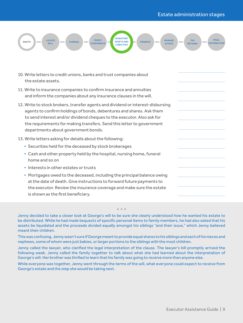..................................................................................

..................................................................................

..................................................................................

..................................................................................

..................................................................................



- 10. Write letters to credit unions, banks and trust companies about the estate assets.
- 11. Write to insurance companies to confirm insurance and annuities and inform the companies about any insurance clauses in the will.
- 12. Write to stock brokers, transfer agents and dividend or interest-disbursing agents to confirm holdings of bonds, debentures and shares. Ask them to send interest and/or dividend cheques to the executor. Also ask for the requirements for making transfers. Send this letter to government departments about government bonds.
- 13. Write letters asking for details about the following:
	- Securities held for the deceased by stock brokerages
	- Cash and other property held by the hospital, nursing home, funeral home and so on
	- Interests in other estates or trusts
	- Mortgages owed to the deceased, including the principal balance owing at the date of death. Give instructions to forward future payments to the executor. Review the insurance coverage and make sure the estate is shown as the first beneficiary.

Jenny decided to take a closer look at George's will to be sure she clearly understood how he wanted his estate to be distributed. While he had made bequests of specific personal items to family members, he had also asked that his assets be liquidated and the proceeds divided equally amongst his siblings "and their issue," which Jenny believed meant their children.

\* \* \*

This was confusing. Jenny wasn't sure if George meant to provide equal shares to his siblings and each of his nieces and nephews, some of whom were just babies, or larger portions to the siblings with the most children.

Jenny called the lawyer, who clarified the legal interpretation of the clause. The lawyer's bill promptly arrived the following week. Jenny called the family together to talk about what she had learned about the interpretation of George's will. Her brother was thrilled to learn that his family was going to receive more than anyone else.

While everyone was together, Jenny went through the terms of the will, what everyone could expect to receive from George's estate and the step she would be taking next.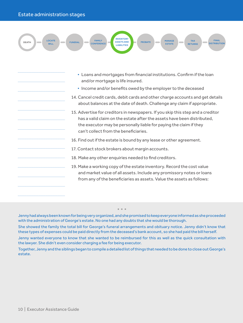..................................................................................

..................................................................................

..................................................................................

..................................................................................

..................................................................................

..................................................................................

..................................................................................

..................................................................................

..................................................................................

..................................................................................

..................................................................................

..................................................................................

..................................................................................



- Loans and mortgages from financial institutions. Confirm if the loan and/or mortgage is life insured.
- Income and/or benefits owed by the employer to the deceased
- 14. Cancel credit cards, debit cards and other charge accounts and get details about balances at the date of death. Challenge any claim if appropriate.
- 15. Advertise for creditors in newspapers. If you skip this step and a creditor has a valid claim on the estate after the assets have been distributed, the executor may be personally liable for paying the claim if they can't collect from the beneficiaries.
- 16. Find out if the estate is bound by any lease or other agreement.
- 17. Contact stock brokers about margin accounts.
- 18. Make any other enquiries needed to find creditors.
- 19. Make a working copy of the estate inventory. Record the cost value and market value of all assets. Include any promissory notes or loans from any of the beneficiaries as assets. Value the assets as follows:

\* \* \* Jenny had always been known for being very organized, and she promised to keep everyone informed as she proceeded with the administration of George's estate. No one had any doubts that she would be thorough.

She showed the family the total bill for George's funeral arrangements and obituary notice. Jenny didn't know that these types of expenses could be paid directly from the deceased's bank account, so she had paid the bill herself.

Jenny wanted everyone to know that she wanted to be reimbursed for this as well as the quick consultation with the lawyer. She didn't even consider charging a fee for being executor.

Together, Jenny and the siblings began to compile a detailed list of things that needed to be done to close out George's estate.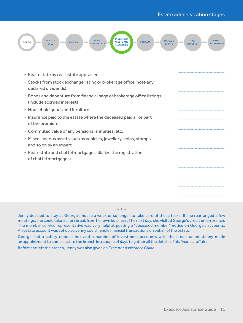

| • Real estate by real estate appraiser                                                               |  |
|------------------------------------------------------------------------------------------------------|--|
| • Stocks from stock exchange listing or brokerage office (note any<br>declared dividends)            |  |
| • Bonds and debenture from financial page or brokerage office listings<br>(include accrued interest) |  |
| • Household goods and furniture                                                                      |  |
| . Insurance paid to the estate where the deceased paid all or part<br>of the premium                 |  |
| • Commuted value of any pensions, annuities, etc.                                                    |  |
| • Miscellaneous assets such as vehicles, jewellery, coins, stamps<br>and so on by an expert          |  |
| • Real estate and chattel mortgages (diarize the registration<br>of chattel mortgages)               |  |
|                                                                                                      |  |
|                                                                                                      |  |
|                                                                                                      |  |
|                                                                                                      |  |
|                                                                                                      |  |

# Jenny decided to stay at George's house a week or so longer to take care of these tasks. If she rearranged a few meetings, she could take a short break from her own business. The next day, she visited George's credit union branch. The member service representative was very helpful, posting a "deceased member" notice on George's accounts. An estate account was set up so Jenny could handle financial transactions on behalf of the estate.

\* \* \*

George had a safety deposit box and a number of investment accounts with the credit union. Jenny made an appointment to come back to the branch in a couple of days to gather all the details of his financial affairs. Before she left the branch, Jenny was also given an *Executor Assistance Guide*.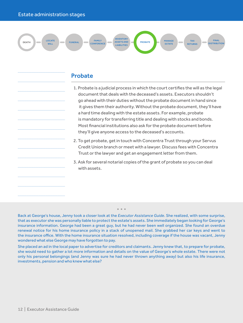..................................................................................

..................................................................................

..................................................................................

..................................................................................

..................................................................................

..................................................................................

..................................................................................

..................................................................................

..................................................................................

..................................................................................

..................................................................................

..................................................................................

..................................................................................



# Probate

- 1. Probate is a judicial process in which the court certifies the will as the legal document that deals with the deceased's assets. Executors shouldn't go ahead with their duties without the probate document in hand since it gives them their authority. Without the probate document, they'll have a hard time dealing with the estate assets. For example, probate is mandatory for transferring title and dealing with stocks and bonds. Most financial institutions also ask for the probate document before they'll give anyone access to the deceased's accounts.
- 2. To get probate, get in touch with Concentra Trust through your Servus Credit Union branch or meet with a lawyer. Discuss fees with Concentra Trust or the lawyer and get an engagement letter from them.
- 3. Ask for several notarial copies of the grant of probate so you can deal with assets.

Back at George's house, Jenny took a closer look at the *Executor Assistance Guide*. She realized, with some surprise, that as executor she was personally liable to protect the estate's assets. She immediately began looking for George's insurance information. George had been a great guy, but he had never been well organized. She found an overdue renewal notice for his home insurance policy in a stack of unopened mail. She grabbed her car keys and went to the insurance office. With the home insurance situation resolved, including coverage if the house was vacant, Jenny wondered what else George may have forgotten to pay.

\* \* \*

She placed an ad in the local paper to advertise for creditors and claimants. Jenny knew that, to prepare for probate, she would need to gather a lot more information and details on the value of George's whole estate. There were not only his personal belongings (and Jenny was sure he had never thrown anything away) but also his life insurance, investments, pension and who knew what else?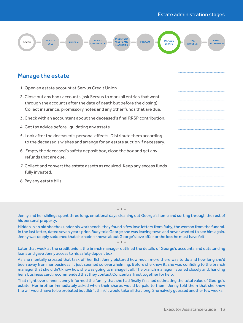..................................................................................

..................................................................................

..................................................................................

..................................................................................

..................................................................................



# Manage the estate

- 1. Open an estate account at Servus Credit Union.
- 2. Close out any bank accounts (ask Servus to mark all entries that went through the accounts after the date of death but before the closing). Collect insurance, promissory notes and any other funds that are due.
- 3. Check with an accountant about the deceased's final RRSP contribution.
- 4. Get tax advice before liquidating any assets.
- 5. Look after the deceased's personal effects. Distribute them according to the deceased's wishes and arrange for an estate auction if necessary.
- 6. Empty the deceased's safety deposit box, close the box and get any refunds that are due.
- 7. Collect and convert the estate assets as required. Keep any excess funds fully invested.
- 8. Pay any estate bills.

\* \* \* Jenny and her siblings spent three long, emotional days cleaning out George's home and sorting through the rest of his personal property.

Hidden in an old shoebox under his workbench, they found a few love letters from Ruby, the woman from the funeral. In the last letter, dated seven years prior, Rudy told George she was leaving town and never wanted to see him again. Jenny was deeply saddened that she hadn't known about George's love affair or the loss he must have felt.

\* \* \* Later that week at the credit union, the branch manager outlined the details of George's accounts and outstanding loans and gave Jenny access to his safety deposit box.

As she mentally crossed that task off her list, Jenny pictured how much more there was to do and how long she'd been away from her business. It just seemed so overwhelming. Before she knew it, she was confiding to the branch manager that she didn't know how she was going to manage it all. The branch manager listened closely and, handing her a business card, recommended that they contact Concentra Trust together for help.

That night over dinner, Jenny informed the family that she had finally finished estimating the total value of George's estate. Her brother immediately asked when their shares would be paid to them. Jenny told them that she knew the will would have to be probated but didn't think it would take all that long. She naively guessed another few weeks.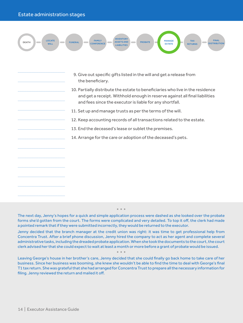..................................................................................

..................................................................................

..................................................................................

..................................................................................

..................................................................................

..................................................................................

..................................................................................

..................................................................................

..................................................................................

..................................................................................

..................................................................................

..................................................................................

..................................................................................



- 9. Give out specific gifts listed in the will and get a release from the beneficiary.
- 10. Partially distribute the estate to beneficiaries who live in the residence and get a receipt. Withhold enough in reserve against all final liabilities and fees since the executor is liable for any shortfall.
- 11. Set up and manage trusts as per the terms of the will.
- 12. Keep accounting records of all transactions related to the estate.
	- 13. End the deceased's lease or sublet the premises.
		- 14. Arrange for the care or adoption of the deceased's pets.

The next day, Jenny's hopes for a quick and simple application process were dashed as she looked over the probate forms she'd gotten from the court. The forms were complicated and very detailed. To top it off, the clerk had made a pointed remark that if they were submitted incorrectly, they would be returned to the executor.

\* \* \*

Jenny decided that the branch manager at the credit union was right: it was time to get professional help from Concentra Trust. After a brief phone discussion, Jenny hired the company to act as her agent and complete several administrative tasks, including the dreaded probate application. When she took the documents to the court, the court clerk advised her that she could expect to wait at least a month or more before a grant of probate would be issued.

Leaving George's house in her brother's care, Jenny decided that she could finally go back home to take care of her business. Since her business was booming, she knew she wouldn't be able to find the time to deal with George's final T1 tax return. She was grateful that she had arranged for Concentra Trust to prepare all the necessary information for filing. Jenny reviewed the return and mailed it off.

\* \* \*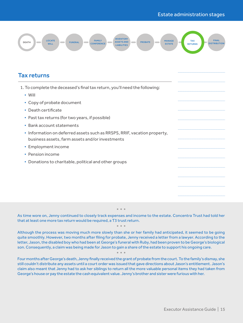

# Tax returns

| 1. To complete the deceased's final tax return, you'll need the following:<br>$\bullet$ Will                                |  |
|-----------------------------------------------------------------------------------------------------------------------------|--|
| • Copy of probate document                                                                                                  |  |
| • Death certificate                                                                                                         |  |
| • Past tax returns (for two years, if possible)                                                                             |  |
| • Bank account statements                                                                                                   |  |
| • Information on deferred assets such as RRSPS, RRIF, vacation property,<br>business assets, farm assets and/or investments |  |
| • Employment income                                                                                                         |  |
| • Pension income                                                                                                            |  |
| • Donations to charitable, political and other groups                                                                       |  |
|                                                                                                                             |  |
|                                                                                                                             |  |
|                                                                                                                             |  |

# \* \* \* As time wore on, Jenny continued to closely track expenses and income to the estate. Concentra Trust had told her that at least one more tax return would be required, a T3 trust return. \* \* \*

Although the process was moving much more slowly than she or her family had anticipated, it seemed to be going quite smoothly. However, two months after filing for probate, Jenny received a letter from a lawyer. According to the letter, Jason, the disabled boy who had been at George's funeral with Ruby, had been proven to be George's biological son. Consequently, a claim was being made for Jason to gain a share of the estate to support his ongoing care.

Four months after George's death, Jenny finally received the grant of probate from the court. To the family's dismay, she still couldn't distribute any assets until a court order was issued that gave directions about Jason's entitlement. Jason's claim also meant that Jenny had to ask her siblings to return all the more valuable personal items they had taken from George's house or pay the estate the cash equivalent value. Jenny's brother and sister were furious with her.

\* \* \*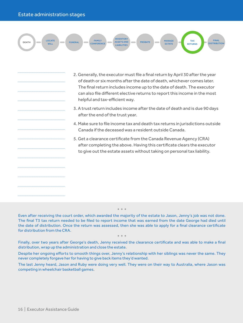..................................................................................

..................................................................................

..................................................................................

..................................................................................

..................................................................................

..................................................................................

..................................................................................

..................................................................................

..................................................................................

..................................................................................

..................................................................................

..................................................................................

..................................................................................



- 2. Generally, the executor must file a final return by April 30 after the year of death or six months after the date of death, whichever comes later. The final return includes income up to the date of death. The executor can also file different elective returns to report this income in the most helpful and tax-efficient way.
- 3. A trust return includes income after the date of death and is due 90 days after the end of the trust year.
- 4. Make sure to file income tax and death tax returns in jurisdictions outside Canada if the deceased was a resident outside Canada.
- 5. Get a clearance certificate from the Canada Revenue Agency (CRA) after completing the above. Having this certificate clears the executor to give out the estate assets without taking on personal tax liability.

Even after receiving the court order, which awarded the majority of the estate to Jason, Jenny's job was not done. The final T3 tax return needed to be filed to report income that was earned from the date George had died until the date of distribution. Once the return was assessed, then she was able to apply for a final clearance certificate for distribution from the CRA.

\* \* \*

\* \* \* Finally, over two years after George's death, Jenny received the clearance certificate and was able to make a final distribution, wrap up the administration and close the estate.

Despite her ongoing efforts to smooth things over, Jenny's relationship with her siblings was never the same. They never completely forgave her for having to give back items they'd wanted.

The last Jenny heard, Jason and Ruby were doing very well. They were on their way to Australia, where Jason was competing in wheelchair basketball games.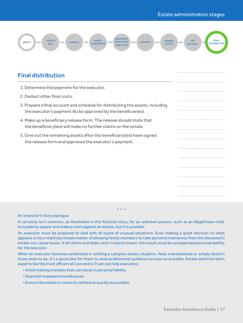..................................................................................

..................................................................................

..................................................................................

..................................................................................

..................................................................................



# Final distribution

- 1. Determine the payment for the executor.
- 2. Deduct other final costs.
- 3. Prepare a final account and schedule for distributing the assets, including the executor's payment (to be approved by the beneficiaries).
- 4. Make up a beneficiary release form. The release should state that the beneficiary(ies) will make no further claims on the estate.
- 5. Give out the remaining assets after the beneficiary(ies) have signed the release form and approved the executor's payment.

#### An executor's story epilogue

It certainly isn't common, as illustrated in this fictional story, for an unknown person, such as an illegitimate child, to suddenly appear and make a claim against an estate, but it is possible.

 $*$  \*

An executor must be prepared to deal with all types of unusual situations. Even making a quick decision on what appears to be a relatively simple matter of allowing family members to take personal mementos from the deceased's estate can cause issues. If all claims and debts aren't clearly known, the result could be unexpected personal liability for the executor.

When an executor becomes embroiled in settling a complex estate situation, feels overwhelmed or simply doesn't know what to do, it's a good idea for them to seek professional guidance as soon as possible. Estate administration experts like the trust officers at Concentra Trust can help executors:

- Avoid making mistakes that can result in personal liability
- Deal with impatient beneficiaries
- Ensure the estate is correctly settled as quickly as possible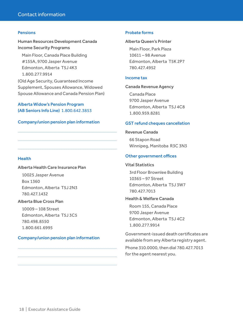## Pensions

Human Resources Development Canada Income Security Programs

Main Floor, Canada Place Building #155A, 9700 Jasper Avenue Edmonton, Alberta T5J 4K3 1.800.277.9914 (Old Age Security, Guaranteed Income

Supplement, Spouses Allowance, Widowed Spouse Allowance and Canada Pension Plan)

Alberta Widow's Pension Program (AB Seniors Info Line) 1.800.642.3853

# Company/union pension plan information

# **Health**

Alberta Health Care Insurance Plan

10025 Jasper Avenue Box 1360 Edmonton, Alberta T5J 2N3 780.427.1432

# Alberta Blue Cross Plan

10009 – 108 Street Edmonton, Alberta T5J 3C5 780.498.8550 1.800.661.6995

## Company/union pension plan information

## Probate forms

#### Alberta Queen's Printer

Main Floor, Park Plaza 10611 – 98 Avenue Edmonton, Alberta T5K 2P7 780.427.4952

## Income tax

# Canada Revenue Agency

Canada Place 9700 Jasper Avenue Edmonton, Alberta T5J 4C8 1.800.959.8281

# GST refund cheques cancellation

Revenue Canada

66 Stapon Road Winnipeg, Manitoba R3C 3N3

## Other government offices

## Vital Statistics

3rd Floor Brownlee Building 10365 – 97 Street Edmonton, Alberta T5J 3W7 780.427.7013

# Health & Welfare Canada

Room 155, Canada Place 9700 Jasper Avenue Edmonton, Alberta T5J 4C2 1.800.277.9914

Government-issued death certificates are available from any Alberta registry agent.

Phone 310.0000, then dial 780.427.7013 for the agent nearest you.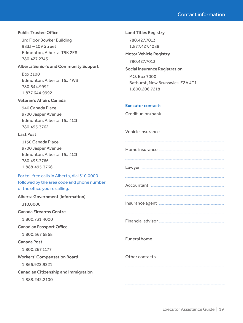## **Public Trustee Office**

3rd Floor Bowker Building 9833 - 109 Street Edmonton, Alberta T5K 2E8 780.427.2745

## **Alberta Senior's and Community Support**

Box 3100 Edmonton, Alberta T5J 4W3 780.644.9992 1.877.644.9992

# **Veteran's Affairs Canada**

940 Canada Place 9700 Jasper Avenue Edmonton, Alberta T5J 4C3 780.495.3762

## **Last Post**

1130 Canada Place 9700 Jasper Avenue Edmonton, Alberta T5J 4C3 780 495 3766 1.888.495.3766

# For toll free calls in Alberta, dial 310.0000 followed by the area code and phone number of the office you're calling.

# **Alberta Government (Information)**

310,0000

**Canada Firearms Centre** 

1.800.731.4000

# **Canadian Passport Office**

1.800.567.6868

# **Canada Post**

1.800.267.1177

**Workers' Compensation Board** 

1.866.922.9221

**Canadian Citizenship and Immigration** 

1.888.242.2100

780.427.7013 1.877.427.4088 **Motor Vehicle Registry** 780.427.7013 **Social Insurance Registration** P.O. Box 7000 Bathurst, New Brunswick E2A 4T1

## **Executor contacts**

18002067218

**Land Titles Registry** 

| Vehicle insurance <b>with an additional contract of the contract of the contract of the contract of the contract of the contract of the contract of the contract of the contract of the contract of the contract of the contract</b> |
|--------------------------------------------------------------------------------------------------------------------------------------------------------------------------------------------------------------------------------------|
|                                                                                                                                                                                                                                      |
|                                                                                                                                                                                                                                      |
|                                                                                                                                                                                                                                      |
| Insurance agent [1999] [1999] [1999] [1999] [1999] [1999] [1999] [1999] [1999] [1999] [1999] [1999] [1999] [1                                                                                                                        |
|                                                                                                                                                                                                                                      |
|                                                                                                                                                                                                                                      |
| Other contacts <b>with an architecture of the contact</b>                                                                                                                                                                            |
|                                                                                                                                                                                                                                      |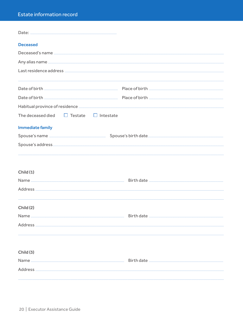# Estate information record

| <b>Deceased</b>                                   |                                                                                                                                                                                                                                          |
|---------------------------------------------------|------------------------------------------------------------------------------------------------------------------------------------------------------------------------------------------------------------------------------------------|
|                                                   |                                                                                                                                                                                                                                          |
|                                                   |                                                                                                                                                                                                                                          |
|                                                   |                                                                                                                                                                                                                                          |
|                                                   |                                                                                                                                                                                                                                          |
|                                                   |                                                                                                                                                                                                                                          |
|                                                   |                                                                                                                                                                                                                                          |
|                                                   |                                                                                                                                                                                                                                          |
| The deceased died $\Box$ Testate $\Box$ Intestate |                                                                                                                                                                                                                                          |
| <b>Immediate family</b>                           |                                                                                                                                                                                                                                          |
|                                                   | Spouse's name <b>contract to the contract of the Spouse's</b> birth date <b>Spouse and Spouse's birth</b> date and the set of the set of the set of the set of the set of the set of the set of the set of the set of the set of the set |
|                                                   |                                                                                                                                                                                                                                          |
|                                                   |                                                                                                                                                                                                                                          |
|                                                   |                                                                                                                                                                                                                                          |
| Child(1)                                          |                                                                                                                                                                                                                                          |
|                                                   |                                                                                                                                                                                                                                          |
|                                                   |                                                                                                                                                                                                                                          |
|                                                   |                                                                                                                                                                                                                                          |
| Child(2)                                          |                                                                                                                                                                                                                                          |
|                                                   |                                                                                                                                                                                                                                          |
|                                                   |                                                                                                                                                                                                                                          |
|                                                   |                                                                                                                                                                                                                                          |
|                                                   |                                                                                                                                                                                                                                          |
| Child(3)                                          |                                                                                                                                                                                                                                          |
|                                                   |                                                                                                                                                                                                                                          |
|                                                   |                                                                                                                                                                                                                                          |
|                                                   |                                                                                                                                                                                                                                          |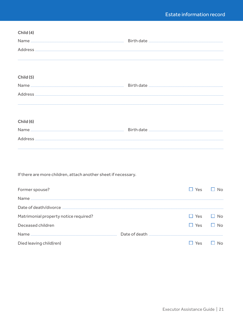| Child (4)                                                                                                                                                                                                                      |  |  |
|--------------------------------------------------------------------------------------------------------------------------------------------------------------------------------------------------------------------------------|--|--|
|                                                                                                                                                                                                                                |  |  |
|                                                                                                                                                                                                                                |  |  |
|                                                                                                                                                                                                                                |  |  |
|                                                                                                                                                                                                                                |  |  |
| Child (5)                                                                                                                                                                                                                      |  |  |
|                                                                                                                                                                                                                                |  |  |
| Address and the contract of the contract of the contract of the contract of the contract of the contract of the contract of the contract of the contract of the contract of the contract of the contract of the contract of th |  |  |
|                                                                                                                                                                                                                                |  |  |
|                                                                                                                                                                                                                                |  |  |
| Child (6)                                                                                                                                                                                                                      |  |  |
|                                                                                                                                                                                                                                |  |  |
|                                                                                                                                                                                                                                |  |  |
|                                                                                                                                                                                                                                |  |  |
|                                                                                                                                                                                                                                |  |  |
|                                                                                                                                                                                                                                |  |  |
| If there are more children, attach another sheet if necessary.                                                                                                                                                                 |  |  |
|                                                                                                                                                                                                                                |  |  |

| Former spouse?                        |               | Yes                  | N <sub>0</sub> |
|---------------------------------------|---------------|----------------------|----------------|
| Name                                  |               |                      |                |
|                                       |               |                      |                |
| Matrimonial property notice required? |               | $\Box$ Yes $\Box$ No |                |
| Deceased children                     |               | Yes                  | N <sub>0</sub> |
| Name                                  | Date of death |                      |                |
| Died leaving child(ren)               |               | Yes                  |                |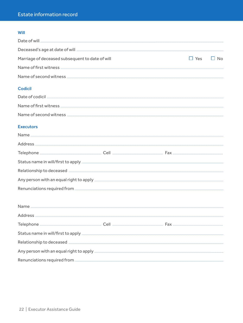# Will

| Marriage of deceased subsequent to date of will | $\Box$ Yes $\Box$ No |  |
|-------------------------------------------------|----------------------|--|
|                                                 |                      |  |
| Name of second witness.                         |                      |  |

# **Codicil**

# **Executors**

| Name    |      |                                                                                                                                                                                                                                     |
|---------|------|-------------------------------------------------------------------------------------------------------------------------------------------------------------------------------------------------------------------------------------|
| Address |      |                                                                                                                                                                                                                                     |
|         | Cell |                                                                                                                                                                                                                                     |
|         |      | Status name in will/first to apply <b>contract to apply</b> and the set of the set of the set of the set of the set of the set of the set of the set of the set of the set of the set of the set of the set of the set of the set o |
|         |      |                                                                                                                                                                                                                                     |
|         |      | Any person with an equal right to apply <b><i>manufacture and any example of the series</i></b>                                                                                                                                     |
|         |      |                                                                                                                                                                                                                                     |

| Name                                                                                                                                                                                                                                |  |
|-------------------------------------------------------------------------------------------------------------------------------------------------------------------------------------------------------------------------------------|--|
| Address                                                                                                                                                                                                                             |  |
|                                                                                                                                                                                                                                     |  |
| Status name in will/first to apply <b>contained a status of the status</b> and will all the status of the status of the status of the status of the status of the status of the status of the status of the status of the status of |  |
|                                                                                                                                                                                                                                     |  |
| Any person with an equal right to apply [11] The Content of the Content of the Content of the Content of the Content of the Content of the Content of the Content of the Content of the Content of the Content of the Content       |  |
|                                                                                                                                                                                                                                     |  |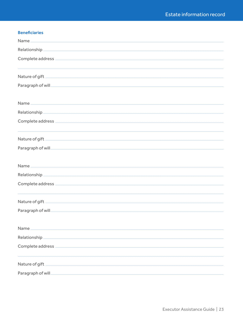# **Beneficiaries**

| Relationship. |
|---------------|
|               |
|               |
|               |
|               |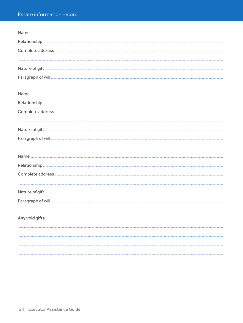# Estate information record

| Name <u>www.marendie.html was a straighter</u> |
|------------------------------------------------|
|                                                |
|                                                |
|                                                |
|                                                |
|                                                |
|                                                |
|                                                |
|                                                |
|                                                |
|                                                |
|                                                |
|                                                |
|                                                |
| Any void gifts                                 |
|                                                |
|                                                |
|                                                |
|                                                |
|                                                |
|                                                |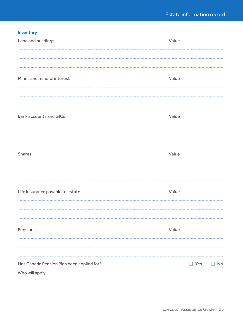# Inventory

| Land and buildings                                                            | Value      |           |
|-------------------------------------------------------------------------------|------------|-----------|
|                                                                               |            |           |
| Mines and mineral interest                                                    | Value      |           |
| <b>Bank accounts and GICs</b>                                                 | Value      |           |
| Shares                                                                        | Value      |           |
|                                                                               |            |           |
| Life insurance payable to estate                                              | Value      |           |
| Pensions                                                                      | Value      |           |
| Has Canada Pension Plan been applied for?<br>Who will apply <b>will apply</b> | $\Box$ Yes | $\Box$ No |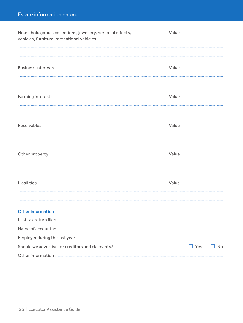| Household goods, collections, jewellery, personal effects,<br>vehicles, furniture, recreational vehicles                                                                                                                             | Value |            |           |
|--------------------------------------------------------------------------------------------------------------------------------------------------------------------------------------------------------------------------------------|-------|------------|-----------|
|                                                                                                                                                                                                                                      |       |            |           |
| <b>Business interests</b>                                                                                                                                                                                                            | Value |            |           |
|                                                                                                                                                                                                                                      |       |            |           |
| Farming interests                                                                                                                                                                                                                    | Value |            |           |
|                                                                                                                                                                                                                                      |       |            |           |
| <b>Receivables</b>                                                                                                                                                                                                                   | Value |            |           |
|                                                                                                                                                                                                                                      |       |            |           |
| Other property                                                                                                                                                                                                                       | Value |            |           |
|                                                                                                                                                                                                                                      |       |            |           |
| Liabilities                                                                                                                                                                                                                          | Value |            |           |
| <b>Other information</b>                                                                                                                                                                                                             |       |            |           |
| Last tax return filed <b>with the contract of the contract of the contract of the contract of the contract of the contract of the contract of the contract of the contract of the contract of the contract of the contract of th</b> |       |            |           |
| Name of accountant <b>contract and accountant</b> contract to the second second second second second second second second second second second second second second second second second second second second second second second   |       |            |           |
| Employer during the last year <b>contract to the contract of the set of the contract of the contract of the contract of the contract of the contract of the contract of the contract of the contract of the contract of the cont</b> |       |            |           |
| Should we advertise for creditors and claimants?                                                                                                                                                                                     |       | $\Box$ Yes | $\Box$ No |
|                                                                                                                                                                                                                                      |       |            |           |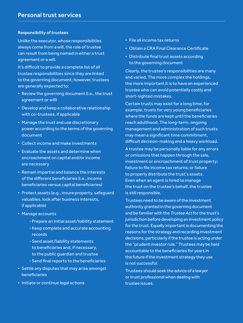## Responsibility of trustees

Unlike the executor, whose responsibilities always come from a will, the role of trustee can result from being named in either a trust agreement or a will.

It's difficult to provide a complete list of all trustee responsibilities since they are linked to the governing document; however, trustees are generally expected to:

- Review the governing document (i.e., the trust agreement or will)
- Develop and keep a collaborative relationship with co-trustees, if applicable
- Manage the trust and use discretionary power according to the terms of the governing document
- Collect income and make investments
- Evaluate the assets and determine when encroachment on capital and/or income are necessary
- Remain impartial and balance the interests of the different beneficiaries (i.e., income beneficiaries versus capital beneficiaries)
- Protect assets (e.g., insure property, safeguard valuables, look after business interests, if applicable)
- Manage accounts
	- -Prepare an initial asset/liability statement
	- -Keep complete and accurate accounting records
	- -Send asset/liability statements to beneficiaries and, if necessary, to the public guardian and trustee
	- -Send final reports to the beneficiaries
- Settle any disputes that may arise amongst beneficiaries
- Initiate or continue legal actions
- File all income tax returns
- Obtain a CRA Final Clearance Certificate
- Distribute final trust assets according to the governing document

Clearly, the trustee's responsibilities are many and varied. The more complex the holdings, the more important it is to have an experienced trustee who can avoid potentially costly and short-sighted mistakes.

Certain trusts may exist for a long time, for example, trusts for very young beneficiaries where the funds are kept until the beneficiaries reach adulthood. The long-term, ongoing management and administration of such trusts may mean a significant time commitment, difficult decision-making and a heavy workload.

A trustee may be personally liable for any errors or omissions that happen through the sale, investment or encroachment of trust property; failure to file income tax returns; or failure to properly distribute the trust's assets. Even when an agent is hired to manage the trust on the trustee's behalf, the trustee is still responsible.

Trustees need to be aware of the investment authority granted in the governing document and be familiar with the *Trustee Act* for the trust's jurisdiction before developing an investment policy for the trust. Equally important is documenting the reasons for the strategy and recording investment decisions, particularly if the trustee is acting under the "prudent investor rule." Trustees may be held accountable to the beneficiaries for years in the future if the investment strategy they use is not successful.

Trustees should seek the advice of a lawyer or trust professional when dealing with trustee issues.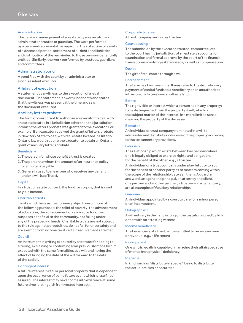#### Administration

The care and management of an estate by an executor and administrator, trustee or guardian. The work performed by a personal representative regarding the collection of assets of a deceased person, settlement of all debts and liabilities, and distribution of the remainder, to those persons beneficially entitled. Similarly, the work performed by trustees, guardians and committees.

#### Administration bond

A bond filed with the court by an administrator or a non-resident executor.

#### Affidavit of execution

A statement by a witness to the execution of a legal document. The statement is sworn under oath and states that the witness was present at the time and saw the document executed.

#### Ancillary letters probate

The form of court grant to authorize an executor to deal with an estate located in a jurisdiction other than the jurisdiction in which the letters probate was granted to the executor. For example, if an executor received the grant of letters probate in New York State to deal with real estate located in Ontario, Ontario law would require the executor to obtain an Ontario grant of ancillary letters probate.

#### **Beneficiary**

- 1. The person for whose benefit a trust is created.
- 2. The person to whom the amount of an insurance policy or annuity is payable.
- 3. Generally used to mean one who receives any benefit under a will (see Trust).

#### **Capital**

In a trust or estate context, the fund, or corpus, that is used to yield income.

#### Charitable trusts

Trusts which have as their primary object one or more of the following purposes: the relief of poverty; the advancement of education; the advancement of religion; or for other purposes beneficial to the community, not falling under any of the preceding heads. Charitable trusts are not subject to the rule against perpetuities, do not fail for uncertainty and are exempt from income tax if certain requirements are met.

#### Codicil

An instrument in writing executed by a testator for adding to, altering, explaining or confirming a will previously made by him; executed with the same formalities as a will; and having the effect of bringing the date of the will forward to the date of the codicil.

#### Contingent interest

A future interest in real or personal property that is dependent upon the occurrence of some future event which is itself not assured. The interest may never come into existence at some future time (distinguish from vested interest).

#### Corporate trustee

A trust company serving as trustee.

#### Court passing

The submission by the executor, trustee, committee, etc. to the court having jurisdiction, of an estate's accounts for examination and formal approval by the court of the financial transactions involving estate assets, as well as compensation.

#### Devise

The gift of real estate through a will.

#### Encroachment

The term has two meanings. It may refer to the discretionary payment of capital funds to a beneficiary or an unauthorized intrusion of a fixture over another's land.

#### **Estate**

The right, title or interest which a person has in any property; to be distinguished from the property itself, which is the subject matter of the interest. In a more limited sense meaning the property of the deceased.

#### Executor

An individual or trust company nominated in a will to administer and distribute or dispose of the property according to the testamentary provisions.

#### Fiduciary

The relationship which exists between two persons where one is legally obliged to exercise rights and obligations for the benefit of the other, e.g., a trustee.

An individual or a trust company under a lawful duty to act for the benefit of another party as to matters coming within the scope of the relationship between them. A guardian and ward, an agent and principal, an attorney and client, one partner and another partner, a trustee and a beneficiary, are all examples of fiduciary relationships.

#### Guardian

An individual appointed by a court to care for a minor person or an incompetent.

#### Holograph will

A will entirely in the handwriting of the testator, signed by him or her with no attesting witness.

#### Income beneficiary

The beneficiary of a trust, who is entitled to receive income or revenue, e.g., a life tenant.

#### Incompetent

One who is legally incapable of managing their affairs because of mental (not physical) deficiency.

#### In specie

In kind, such as "distribute in specie," being to distribute the actual articles or securities.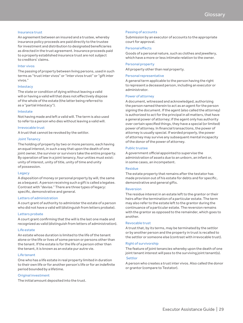#### Insurance trust

An agreement between an insured and a trustee, whereby insurance policy proceeds are paid directly to the trustee for investment and distribution to designated beneficiaries as directed in the trust agreement. Insurance proceeds paid to a properly established insurance trust are not subject to creditors' claims.

### Inter vivos

The passing of property between living persons, used in such terms as "trust inter vivos" or "inter vivos trust" or "gift inter vivos."

#### **Intestacy**

The state or condition of dying without leaving a valid will or having a valid will that does not effectively dispose of the whole of the estate (the latter being referred to as a "partial intestacy").

#### Intestate

Not having made and left a valid will. The term is also used to refer to a person who dies without leaving a valid will.

#### Irrevocable trust

A trust that cannot be revoked by the settlor.

#### Joint Tenancy

The holding of property by two or more persons, each having an equal interest, in such a way that upon the death of one joint owner, the survivor or survivors take the entire property. By operation of law in a joint tenancy, four unities must exist: unity of interest, unity of title, unity of time and unity of possession.

#### Legacy

A disposition of money or personal property by will, the same as a bequest. A person receiving such a gift is called a legatee. Contrast with "devise." There are three types of legacy: specific, demonstrative and general.

#### Letters of administration

A court grant of authority to administer the estate of a person who did not have a valid will (distinguish from letters probate).

#### Letters probate

A court grant confirming that the will is the last one made and recognized as valid (distinguish from letters of administration).

#### Life estate

An estate whose duration is limited to the life of the tenant alone or the life or lives of some person or persons other than the tenant. If the estate is for the life of a person other than the tenant, it is known as an estate pur autre vie.

#### Life tenant

One who has a life estate in real property limited in duration to their own life or for another person's life or for an indefinite period bounded by a lifetime.

#### Original investment

The initial amount deposited into the trust.

#### Passing of accounts

Submission by an executor of accounts to the appropriate court for approval.

#### Personal effects

Goods of a personal nature, such as clothes and jewellery, which have a more or less intimate relation to the owner.

#### Personal property

All property other than real property.

#### Personal representative

A general term applicable to the person having the right to represent a deceased person, including an executor or administrator.

#### Power of attorney

A document, witnessed and acknowledged, authorizing the person named therein to act as an agent for the person signing the document. If the agent (also called the attorney) is authorized to act for the principal in all matters, that have a general power of attorney; if the agent only has authority over certain specified things, they have a special (or limited) power of attorney. In financial transactions, the power of attorney is usually special. If worded properly, the power of attorney may survive any subsequent mental incapacity of the donor of the power of attorney.

#### Public trustee

A government official appointed to supervise the administration of assets due to an unborn, an infant or, in some cases, an incompetent.

#### Residue

The estate property that remains after the testator has made provision out of his estate for debts and for specific, demonstrative and general gifts.

#### Reversion

The residue interest in an estate left to the grantor or their heirs after the termination of a particular estate. The term may also refer to the estate left to the grantor during the continuance of a particular estate. The reversion remains with the grantor as opposed to the remainder, which goes to another.

#### Revocable trust

A trust that, by its terms, may be terminated by the settlor or by another person and the property in trust is recalled to the settlor or someone else (contrast with irrevocable trust).

#### Right of survivorship

The feature of joint tenancies whereby upon the death of one joint tenant interest will pass to the surviving joint tenant(s).

## Settlor

A person who creates a trust inter vivos. Also called the donor or grantor (compare to Testator).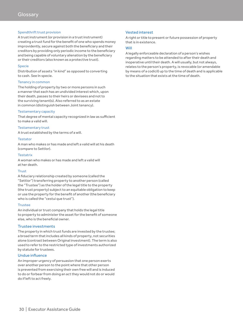#### Spendthrift trust provision

A trust instrument (or provision in a trust instrument) creating a trust fund for the benefit of one who spends money improvidently, secure against both the beneficiary and their creditors by providing only periodic income to the beneficiary and being capable of voluntary alienation by the beneficiary or their creditors (also known as a protective trust).

#### Specie

Distribution of assets "in kind" as opposed to converting to cash. See In specie.

#### Tenancy in common

The holding of property by two or more persons in such a manner that each has an undivided interest which, upon their death, passes to their heirs or devisees and not to the surviving tenant(s). Also referred to as an estate in common (distinguish between Joint tenancy).

#### Testamentary capacity

That degree of mental capacity recognized in law as sufficient to make a valid will.

#### Testamentary trust

A trust established by the terms of a will.

#### Testator

A man who makes or has made and left a valid will at his death (compare to Settlor).

#### **Testatrix**

A woman who makes or has made and left a valid will at her death.

#### **Trust**

A fiduciary relationship created by someone (called the "Settlor") transferring property to another person (called the "Trustee") as the holder of the legal title to the property (the trust property) subject to an equitable obligation to keep or use the property for the benefit of another (the beneficiary who is called the "cestui que trust").

#### Trustee

An individual or trust company that holds the legal title to property to administer the asset for the benefit of someone else, who is the beneficial owner.

#### Trustee investments

The property in which trust funds are invested by the trustee; a broad term that includes all kinds of property, not securities alone (contrast between Original investment). The term is also used to refer to the restricted type of investments authorized by statute for trustees.

#### Undue influence

An improper urgency of persuasion that one person exerts over another person to the point where that other person is prevented from exercising their own free will and is induced to do or forbear from doing an act they would not do or would do if left to act freely.

## Vested interest

A right or title to present or future possession of property that is in existence.

#### Will

A legally enforceable declaration of a person's wishes regarding matters to be attended to after their death and inoperative until their death. A will usually, but not always, relates to the person's property, is revocable (or amendable by means of a codicil) up to the time of death and is applicable to the situation that exists at the time of death.